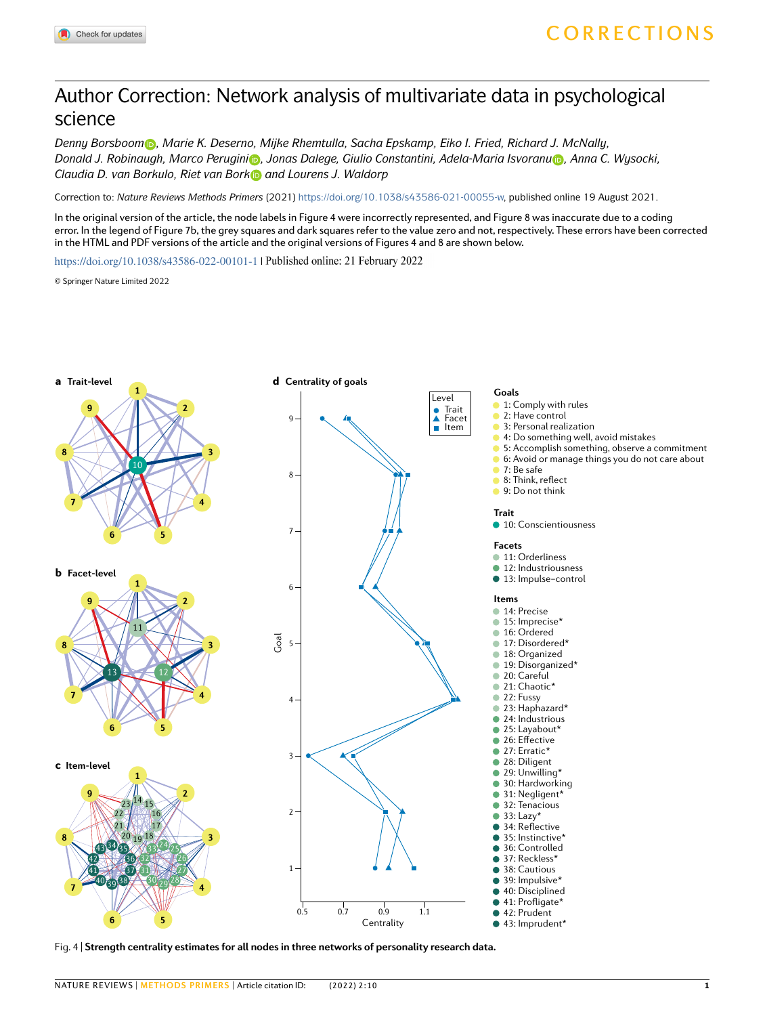## Author Correction: Network analysis of multivariate data in psychological science

*Denny Borsboom , Marie K. Deserno, Mijke Rhemtulla, Sacha Epskamp, Eiko I. Fried, Richard J. McNally, Donald J. Robinaugh, Marco Perugini [,](http://orcid.org/0000-0002-4864-6623) Jonas Dalege, Giulio Constantini, Adela-Maria Isvoran[u](http://orcid.org/0000-0001-7981-9198) , Anna C. Wysocki,*  Claudia D. van Borkulo, Riet van Bork and Lourens J. Waldorp

Correction to: *Nature Reviews Methods Primers* (2021)<https://doi.org/10.1038/s43586-021-00055-w>, published online 19 August 2021.

In the original version of the article, the node labels in Figure 4 were incorrectly represented, and Figure 8 was inaccurate due to a coding error. In the legend of Figure 7b, the grey squares and dark squares refer to the value zero and not, respectively. These errors have been corrected in the HTML and PDF versions of the article and the original versions of Figures 4 and 8 are shown below.

<https://doi.org/10.1038/s43586-022-00101-1>| Published online: 21 February 2022

© Springer Nature Limited 2022



Fig. 4 | **Strength centrality estimates for all nodes in three networks of personality research data.**